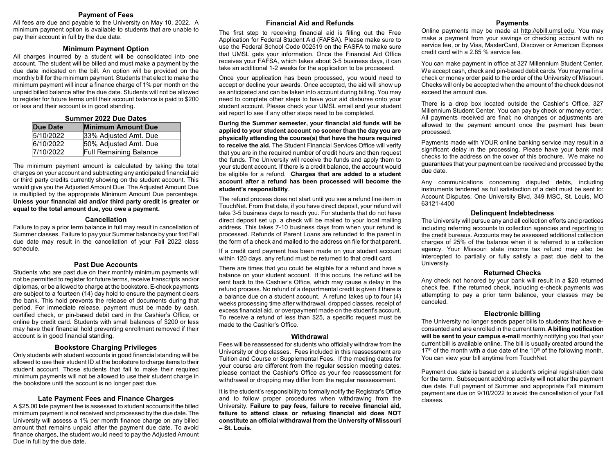#### **Payment of Fees**

All fees are due and payable to the University on May 10, 2022. A minimum payment option is available to students that are unable to pay their account in full by the due date.

#### **Minimum Payment Option**

All charges incurred by a student will be consolidated into one account. The student will be billed and must make a payment by the due date indicated on the bill. An option will be provided on the monthly bill for the minimum payment. Students that elect to make the minimum payment will incur a finance charge of 1% per month on the unpaid billed balance after the due date. Students will not be allowed to register for future terms until their account balance is paid to \$200 or less and their account is in good standing.

## **Summer 2022 Due Dates Due Date Minimum Amount Due** 5/10/2022 33% Adjusted Amt. Due<br>6/10/2022 50% Adjusted Amt. Due 50% Adjusted Amt. Due 7/10/2022 Full Remaining Balance

The minimum payment amount is calculated by taking the total charges on your account and subtracting any anticipated financial aid or third party credits currently showing on the student account. This would give you the Adjusted Amount Due. The Adjusted Amount Due is multiplied by the appropriate Minimum Amount Due percentage. **Unless your financial aid and/or third party credit is greater or equal to the total amount due, you owe a payment.**

#### **Cancellation**

Failure to pay a prior term balance in full may result in cancellation of Summer classes. Failure to pay your Summer balance by your first Fall due date may result in the cancellation of your Fall 2022 class schedule.

#### **Past Due Accounts**

Students who are past due on their monthly minimum payments will not be permitted to register for future terms, receive transcripts and/or diplomas, or be allowed to charge at the bookstore. E-check payments are subject to a fourteen (14) day hold to ensure the payment clears the bank. This hold prevents the release of documents during that period. For immediate release, payment must be made by cash, certified check, or pin-based debit card in the Cashier's Office, or online by credit card. Students with small balances of \$200 or less may have their financial hold preventing enrollment removed if their account is in good financial standing.

#### **Bookstore Charging Privileges**

Only students with student accounts in good financial standing will be allowed to use their student ID at the bookstore to charge items to their student account. Those students that fail to make their required minimum payments will not be allowed to use their student charge in the bookstore until the account is no longer past due.

### **Late Payment Fees and Finance Charges**

A \$25.00 late payment fee is assessed to student accounts if the billed minimum payment is not received and processed by the due date. The University will assess a 1% per month finance charge on any billed amount that remains unpaid after the payment due date. To avoid finance charges, the student would need to pay the Adjusted Amount Due in full by the due date.

## **Financial Aid and Refunds**

The first step to receiving financial aid is filling out the Free Application for Federal Student Aid (FAFSA). Please make sure to use the Federal School Code 002519 on the FASFA to make sure that UMSL gets your information. Once the Financial Aid Office receives your FAFSA, which takes about 3-5 business days, it can take an additional 1-2 weeks for the application to be processed.

Once your application has been processed, you would need to accept or decline your awards. Once accepted, the aid will show up as anticipated and can be taken into account during billing. You may need to complete other steps to have your aid disburse onto your student account. Please check your UMSL email and your student aid report to see if any other steps need to be completed.

**During the Summer semester, your financial aid funds will be applied to your student account no sooner than the day you are physically attending the course(s) that have the hours required to receive the aid.** The Student Financial Services Office will verify that you are in the required number of credit hours and then request the funds. The University will receive the funds and apply them to your student account. If there is a credit balance, the account would be eligible for a refund. **Charges that are added to a student account after a refund has been processed will become the student's responsibility**.

The refund process does not start until you see a refund line item in TouchNet. From that date, if you have direct deposit, your refund will take 3-5 business days to reach you. For students that do not have direct deposit set up, a check will be mailed to your local mailing address. This takes 7-10 business days from when your refund is processed. Refunds of Parent Loans are refunded to the parent in the form of a check and mailed to the address on file for that parent.

If a credit card payment has been made on your student account within 120 days, any refund must be returned to that credit card.

There are times that you could be eligible for a refund and have a balance on your student account. If this occurs, the refund will be sent back to the Cashier's Office, which may cause a delay in the refund process. No refund of a departmental credit is given if there is a balance due on a student account. A refund takes up to four (4) weeks processing time after withdrawal, dropped classes, receipt of excess financial aid, or overpayment made on the student's account. To receive a refund of less than \$25, a specific request must be made to the Cashier's Office.

#### **Withdrawal**

Fees will be reassessed for students who officially withdraw from the University or drop classes. Fees included in this reassessment are Tuition and Course or Supplemental Fees. If the meeting dates for your course are different from the regular session meeting dates, please contact the Cashier's Office as your fee reassessment for withdrawal or dropping may differ from the regular reassessment.

It is the student's responsibility to formally notify the Registrar's Office and to follow proper procedures when withdrawing from the University. **Failure to pay fees, failure to receive financial aid, failure to attend class or refusing financial aid does NOT constitute an official withdrawal from the University of Missouri – St. Louis.**

#### **Payments**

Online payments may be made at [http://ebill.umsl.edu.](http://ebill.umsl.edu/) You may make a payment from your savings or checking account with no service fee, or by Visa, MasterCard, Discover or American Express credit card with a 2.85 % service fee.

You can make payment in office at 327 Millennium Student Center. We accept cash, check and pin-based debit cards. You may mail in a check or money order paid to the order of the University of Missouri. Checks will only be accepted when the amount of the check does not exceed the amount due.

There is a drop box located outside the Cashier's Office, 327 Millennium Student Center. You can pay by check or money order. All payments received are final; no changes or adjustments are allowed to the payment amount once the payment has been processed.

Payments made with YOUR online banking service may result in a significant delay in the processing. Please have your bank mail checks to the address on the cover of this brochure. We make no guarantees that your payment can be received and processed by the due date.

Any communications concerning disputed debts, including instruments tendered as full satisfaction of a debt must be sent to: Account Disputes, One University Blvd, 349 MSC, St. Louis, MO 63121-4400

#### **Delinquent Indebtedness**

The University will pursue any and all collection efforts and practices including referring accounts to collection agencies and reporting to the credit bureaus. Accounts may be assessed additional collection charges of 25% of the balance when it is referred to a collection agency. Your Missouri state income tax refund may also be intercepted to partially or fully satisfy a past due debt to the University.

#### **Returned Checks**

Any check not honored by your bank will result in a \$20 returned check fee. If the returned check, including e-check payments was attempting to pay a prior term balance, your classes may be canceled.

#### **Electronic billing**

The University no longer sends paper bills to students that have econsented and are enrolled in the current term. **A billing notification will be sent to your campus e-mail** monthly notifying you that your current bill is available online. The bill is usually created around the  $17<sup>th</sup>$  of the month with a due date of the  $10<sup>th</sup>$  of the following month. You can view your bill anytime from TouchNet.

Payment due date is based on a student's original registration date for the term. Subsequent add/drop activity will not alter the payment due date. Full payment of Summer and appropriate Fall minimum payment are due on 9/10/2022 to avoid the cancellation of your Fall classes.